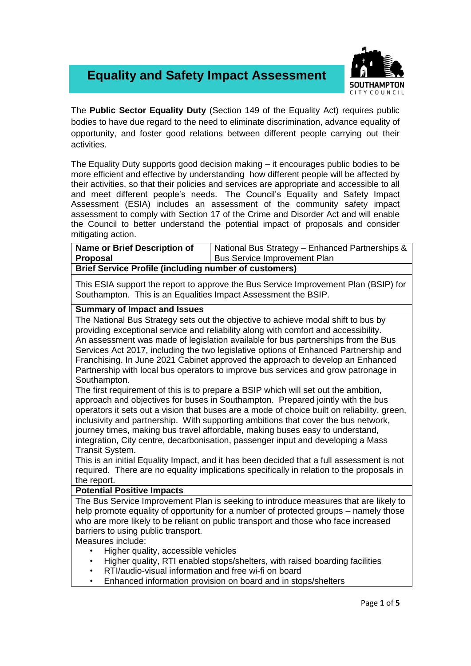## **Equality and Safety Impact Assessment**



The **Public Sector Equality Duty** (Section 149 of the Equality Act) requires public bodies to have due regard to the need to eliminate discrimination, advance equality of opportunity, and foster good relations between different people carrying out their activities.

The Equality Duty supports good decision making – it encourages public bodies to be more efficient and effective by understanding how different people will be affected by their activities, so that their policies and services are appropriate and accessible to all and meet different people's needs. The Council's Equality and Safety Impact Assessment (ESIA) includes an assessment of the community safety impact assessment to comply with Section 17 of the Crime and Disorder Act and will enable the Council to better understand the potential impact of proposals and consider mitigating action.

| <b>Name or Brief Description of</b>                          | National Bus Strategy - Enhanced Partnerships & |  |  |
|--------------------------------------------------------------|-------------------------------------------------|--|--|
| <b>Proposal</b>                                              | <b>Bus Service Improvement Plan</b>             |  |  |
| <b>Brief Service Profile (including number of customers)</b> |                                                 |  |  |

This ESIA support the report to approve the Bus Service Improvement Plan (BSIP) for Southampton. This is an Equalities Impact Assessment the BSIP.

## **Summary of Impact and Issues**

The National Bus Strategy sets out the objective to achieve modal shift to bus by providing exceptional service and reliability along with comfort and accessibility. An assessment was made of legislation available for bus partnerships from the Bus Services Act 2017, including the two legislative options of Enhanced Partnership and Franchising. In June 2021 Cabinet approved the approach to develop an Enhanced Partnership with local bus operators to improve bus services and grow patronage in Southampton.

The first requirement of this is to prepare a BSIP which will set out the ambition, approach and objectives for buses in Southampton. Prepared jointly with the bus operators it sets out a vision that buses are a mode of choice built on reliability, green, inclusivity and partnership. With supporting ambitions that cover the bus network, journey times, making bus travel affordable, making buses easy to understand, integration, City centre, decarbonisation, passenger input and developing a Mass Transit System.

This is an initial Equality Impact, and it has been decided that a full assessment is not required. There are no equality implications specifically in relation to the proposals in the report.

## **Potential Positive Impacts**

The Bus Service Improvement Plan is seeking to introduce measures that are likely to help promote equality of opportunity for a number of protected groups – namely those who are more likely to be reliant on public transport and those who face increased barriers to using public transport.

Measures include:

- Higher quality, accessible vehicles
- Higher quality, RTI enabled stops/shelters, with raised boarding facilities
- RTI/audio-visual information and free wi-fi on board
- Enhanced information provision on board and in stops/shelters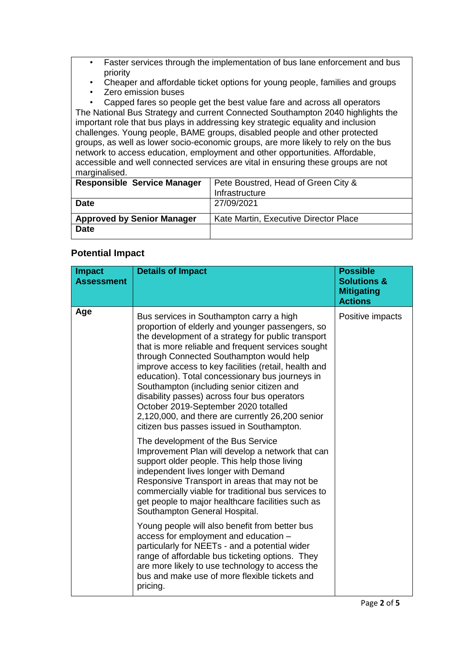- Faster services through the implementation of bus lane enforcement and bus priority
- Cheaper and affordable ticket options for young people, families and groups
- Zero emission buses

• Capped fares so people get the best value fare and across all operators The National Bus Strategy and current Connected Southampton 2040 highlights the important role that bus plays in addressing key strategic equality and inclusion challenges. Young people, BAME groups, disabled people and other protected groups, as well as lower socio-economic groups, are more likely to rely on the bus network to access education, employment and other opportunities. Affordable, accessible and well connected services are vital in ensuring these groups are not marginalised.

| <b>Responsible Service Manager</b> | Pete Boustred, Head of Green City &<br>Infrastructure |
|------------------------------------|-------------------------------------------------------|
| <b>Date</b>                        | 27/09/2021                                            |
| <b>Approved by Senior Manager</b>  | Kate Martin, Executive Director Place                 |
| <b>Date</b>                        |                                                       |

## **Potential Impact**

| <b>Impact</b><br><b>Assessment</b> | <b>Details of Impact</b>                                                                                                                                                                                                                                                                                                                                                                                                                                                                                                                                                                              | <b>Possible</b><br><b>Solutions &amp;</b><br><b>Mitigating</b><br><b>Actions</b> |
|------------------------------------|-------------------------------------------------------------------------------------------------------------------------------------------------------------------------------------------------------------------------------------------------------------------------------------------------------------------------------------------------------------------------------------------------------------------------------------------------------------------------------------------------------------------------------------------------------------------------------------------------------|----------------------------------------------------------------------------------|
| Age                                | Bus services in Southampton carry a high<br>proportion of elderly and younger passengers, so<br>the development of a strategy for public transport<br>that is more reliable and frequent services sought<br>through Connected Southampton would help<br>improve access to key facilities (retail, health and<br>education). Total concessionary bus journeys in<br>Southampton (including senior citizen and<br>disability passes) across four bus operators<br>October 2019-September 2020 totalled<br>2,120,000, and there are currently 26,200 senior<br>citizen bus passes issued in Southampton. | Positive impacts                                                                 |
|                                    | The development of the Bus Service<br>Improvement Plan will develop a network that can<br>support older people. This help those living<br>independent lives longer with Demand<br>Responsive Transport in areas that may not be<br>commercially viable for traditional bus services to<br>get people to major healthcare facilities such as<br>Southampton General Hospital.                                                                                                                                                                                                                          |                                                                                  |
|                                    | Young people will also benefit from better bus<br>access for employment and education -<br>particularly for NEETs - and a potential wider<br>range of affordable bus ticketing options. They<br>are more likely to use technology to access the<br>bus and make use of more flexible tickets and<br>pricing.                                                                                                                                                                                                                                                                                          |                                                                                  |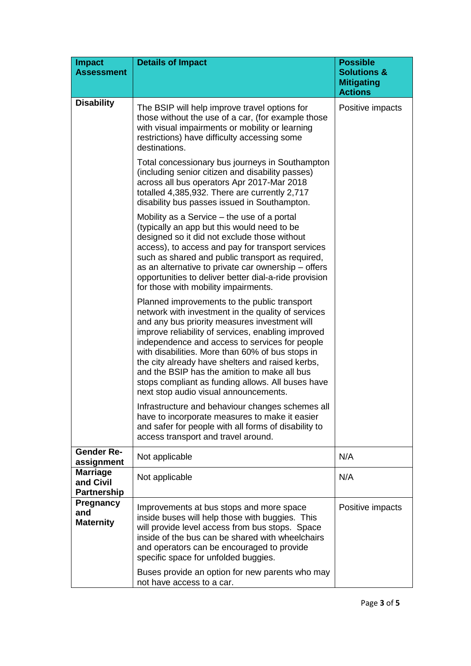| Impact<br><b>Assessment</b>                        | <b>Details of Impact</b>                                                                                                                                                                                                                                                                                                                                                                                                                                                                                          | <b>Possible</b><br><b>Solutions &amp;</b><br><b>Mitigating</b><br><b>Actions</b> |
|----------------------------------------------------|-------------------------------------------------------------------------------------------------------------------------------------------------------------------------------------------------------------------------------------------------------------------------------------------------------------------------------------------------------------------------------------------------------------------------------------------------------------------------------------------------------------------|----------------------------------------------------------------------------------|
| <b>Disability</b>                                  | The BSIP will help improve travel options for<br>those without the use of a car, (for example those<br>with visual impairments or mobility or learning<br>restrictions) have difficulty accessing some<br>destinations.                                                                                                                                                                                                                                                                                           | Positive impacts                                                                 |
|                                                    | Total concessionary bus journeys in Southampton<br>(including senior citizen and disability passes)<br>across all bus operators Apr 2017-Mar 2018<br>totalled 4,385,932. There are currently 2,717<br>disability bus passes issued in Southampton.                                                                                                                                                                                                                                                                |                                                                                  |
|                                                    | Mobility as a Service $-$ the use of a portal<br>(typically an app but this would need to be<br>designed so it did not exclude those without<br>access), to access and pay for transport services<br>such as shared and public transport as required,<br>as an alternative to private car ownership – offers<br>opportunities to deliver better dial-a-ride provision<br>for those with mobility impairments.                                                                                                     |                                                                                  |
|                                                    | Planned improvements to the public transport<br>network with investment in the quality of services<br>and any bus priority measures investment will<br>improve reliability of services, enabling improved<br>independence and access to services for people<br>with disabilities. More than 60% of bus stops in<br>the city already have shelters and raised kerbs,<br>and the BSIP has the amition to make all bus<br>stops compliant as funding allows. All buses have<br>next stop audio visual announcements. |                                                                                  |
|                                                    | Infrastructure and behaviour changes schemes all<br>have to incorporate measures to make it easier<br>and safer for people with all forms of disability to<br>access transport and travel around.                                                                                                                                                                                                                                                                                                                 |                                                                                  |
| <b>Gender Re-</b><br>assignment                    | Not applicable                                                                                                                                                                                                                                                                                                                                                                                                                                                                                                    | N/A                                                                              |
| <b>Marriage</b><br>and Civil<br><b>Partnership</b> | Not applicable                                                                                                                                                                                                                                                                                                                                                                                                                                                                                                    | N/A                                                                              |
| <b>Pregnancy</b><br>and<br><b>Maternity</b>        | Improvements at bus stops and more space<br>inside buses will help those with buggies. This<br>will provide level access from bus stops. Space<br>inside of the bus can be shared with wheelchairs<br>and operators can be encouraged to provide<br>specific space for unfolded buggies.                                                                                                                                                                                                                          | Positive impacts                                                                 |
|                                                    | Buses provide an option for new parents who may<br>not have access to a car.                                                                                                                                                                                                                                                                                                                                                                                                                                      |                                                                                  |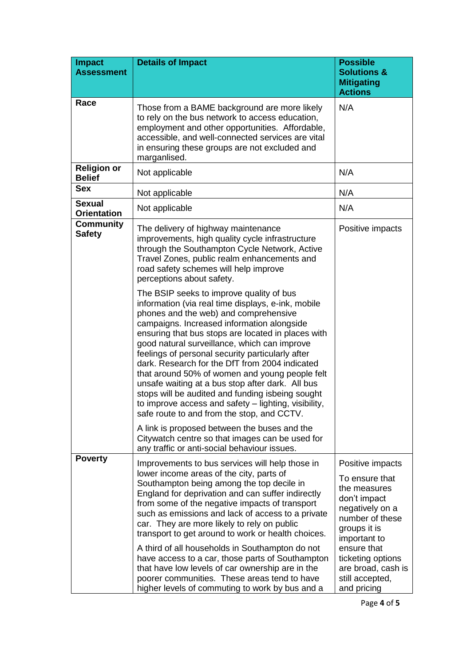| <b>Impact</b><br><b>Assessment</b>  | <b>Details of Impact</b>                                                                                                                                                                                                                                                                                                                                                                                                                                                                                                                                                                                                                                          | <b>Possible</b><br><b>Solutions &amp;</b>                                                                                                |
|-------------------------------------|-------------------------------------------------------------------------------------------------------------------------------------------------------------------------------------------------------------------------------------------------------------------------------------------------------------------------------------------------------------------------------------------------------------------------------------------------------------------------------------------------------------------------------------------------------------------------------------------------------------------------------------------------------------------|------------------------------------------------------------------------------------------------------------------------------------------|
|                                     |                                                                                                                                                                                                                                                                                                                                                                                                                                                                                                                                                                                                                                                                   | <b>Mitigating</b><br><b>Actions</b>                                                                                                      |
| Race                                | Those from a BAME background are more likely<br>to rely on the bus network to access education,<br>employment and other opportunities. Affordable,<br>accessible, and well-connected services are vital<br>in ensuring these groups are not excluded and<br>marganlised.                                                                                                                                                                                                                                                                                                                                                                                          | N/A                                                                                                                                      |
| <b>Religion or</b><br><b>Belief</b> | Not applicable                                                                                                                                                                                                                                                                                                                                                                                                                                                                                                                                                                                                                                                    | N/A                                                                                                                                      |
| <b>Sex</b>                          | Not applicable                                                                                                                                                                                                                                                                                                                                                                                                                                                                                                                                                                                                                                                    | N/A                                                                                                                                      |
| <b>Sexual</b><br><b>Orientation</b> | Not applicable                                                                                                                                                                                                                                                                                                                                                                                                                                                                                                                                                                                                                                                    | N/A                                                                                                                                      |
| <b>Community</b><br><b>Safety</b>   | The delivery of highway maintenance<br>improvements, high quality cycle infrastructure<br>through the Southampton Cycle Network, Active<br>Travel Zones, public realm enhancements and<br>road safety schemes will help improve<br>perceptions about safety.                                                                                                                                                                                                                                                                                                                                                                                                      | Positive impacts                                                                                                                         |
|                                     | The BSIP seeks to improve quality of bus<br>information (via real time displays, e-ink, mobile<br>phones and the web) and comprehensive<br>campaigns. Increased information alongside<br>ensuring that bus stops are located in places with<br>good natural surveillance, which can improve<br>feelings of personal security particularly after<br>dark. Research for the DfT from 2004 indicated<br>that around 50% of women and young people felt<br>unsafe waiting at a bus stop after dark. All bus<br>stops will be audited and funding isbeing sought<br>to improve access and safety - lighting, visibility,<br>safe route to and from the stop, and CCTV. |                                                                                                                                          |
|                                     | A link is proposed between the buses and the<br>Citywatch centre so that images can be used for<br>any traffic or anti-social behaviour issues.                                                                                                                                                                                                                                                                                                                                                                                                                                                                                                                   |                                                                                                                                          |
| <b>Poverty</b>                      | Improvements to bus services will help those in<br>lower income areas of the city, parts of<br>Southampton being among the top decile in<br>England for deprivation and can suffer indirectly<br>from some of the negative impacts of transport<br>such as emissions and lack of access to a private<br>car. They are more likely to rely on public<br>transport to get around to work or health choices.                                                                                                                                                                                                                                                         | Positive impacts<br>To ensure that<br>the measures<br>don't impact<br>negatively on a<br>number of these<br>groups it is<br>important to |
|                                     | A third of all households in Southampton do not<br>have access to a car, those parts of Southampton<br>that have low levels of car ownership are in the<br>poorer communities. These areas tend to have<br>higher levels of commuting to work by bus and a                                                                                                                                                                                                                                                                                                                                                                                                        | ensure that<br>ticketing options<br>are broad, cash is<br>still accepted,<br>and pricing                                                 |